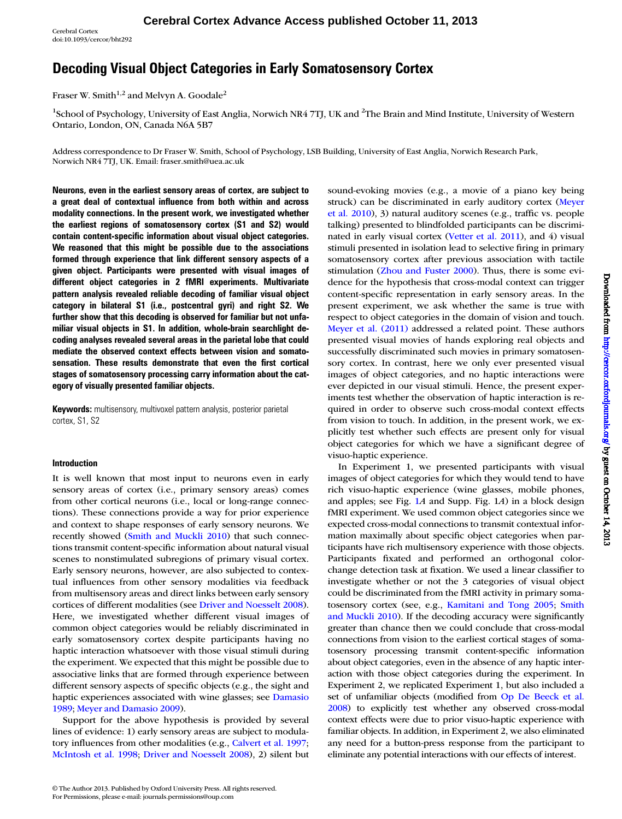Cerebral Cortex doi:10.1093/cercor/bht292

# Decoding Visual Object Categories in Early Somatosensory Cortex

Fraser W. Smith<sup>1,2</sup> and Melvyn A. Goodale<sup>2</sup>

<sup>1</sup>School of Psychology, University of East Anglia, Norwich NR4 7TJ, UK and <sup>2</sup>The Brain and Mind Institute, University of Western Ontario, London, ON, Canada N6A 5B7

Address correspondence to Dr Fraser W. Smith, School of Psychology, LSB Building, University of East Anglia, Norwich Research Park, Norwich NR4 7TJ, UK. Email: fraser.smith@uea.ac.uk

Neurons, even in the earliest sensory areas of cortex, are subject to a great deal of contextual influence from both within and across modality connections. In the present work, we investigated whether the earliest regions of somatosensory cortex (S1 and S2) would contain content-specific information about visual object categories. We reasoned that this might be possible due to the associations formed through experience that link different sensory aspects of a given object. Participants were presented with visual images of different object categories in 2 fMRI experiments. Multivariate pattern analysis revealed reliable decoding of familiar visual object category in bilateral S1 (i.e., postcentral gyri) and right S2. We further show that this decoding is observed for familiar but not unfamiliar visual objects in S1. In addition, whole-brain searchlight decoding analyses revealed several areas in the parietal lobe that could mediate the observed context effects between vision and somatosensation. These results demonstrate that even the first cortical stages of somatosensory processing carry information about the category of visually presented familiar objects.

Keywords: multisensory, multivoxel pattern analysis, posterior parietal cortex, S1, S2

## Introduction

It is well known that most input to neurons even in early sensory areas of cortex (i.e., primary sensory areas) comes from other cortical neurons (i.e., local or long-range connections). These connections provide a way for prior experience and context to shape responses of early sensory neurons. We recently showed [\(Smith and Muckli 2010\)](#page-11-0) that such connections transmit content-specific information about natural visual scenes to nonstimulated subregions of primary visual cortex. Early sensory neurons, however, are also subjected to contextual influences from other sensory modalities via feedback from multisensory areas and direct links between early sensory cortices of different modalities (see [Driver and Noesselt 2008](#page-10-0)). Here, we investigated whether different visual images of common object categories would be reliably discriminated in early somatosensory cortex despite participants having no haptic interaction whatsoever with those visual stimuli during the experiment. We expected that this might be possible due to associative links that are formed through experience between different sensory aspects of specific objects (e.g., the sight and haptic experiences associated with wine glasses; see [Damasio](#page-10-0) [1989](#page-10-0); [Meyer and Damasio 2009\)](#page-11-0).

Support for the above hypothesis is provided by several lines of evidence: 1) early sensory areas are subject to modulatory influences from other modalities (e.g., [Calvert et al. 1997;](#page-10-0) [McIntosh et al. 1998](#page-11-0); [Driver and Noesselt 2008\)](#page-10-0), 2) silent but

© The Author 2013. Published by Oxford University Press. All rights reserved. For Permissions, please e-mail: journals.permissions@oup.com

sound-evoking movies (e.g., a movie of a piano key being struck) can be discriminated in early auditory cortex [\(Meyer](#page-11-0) [et al. 2010\)](#page-11-0), 3) natural auditory scenes (e.g., traffic vs. people talking) presented to blindfolded participants can be discriminated in early visual cortex [\(Vetter et al. 2011\)](#page-11-0), and 4) visual stimuli presented in isolation lead to selective firing in primary somatosensory cortex after previous association with tactile stimulation [\(Zhou and Fuster 2000](#page-11-0)). Thus, there is some evidence for the hypothesis that cross-modal context can trigger content-specific representation in early sensory areas. In the present experiment, we ask whether the same is true with respect to object categories in the domain of vision and touch. [Meyer et al. \(2011\)](#page-11-0) addressed a related point. These authors presented visual movies of hands exploring real objects and successfully discriminated such movies in primary somatosensory cortex. In contrast, here we only ever presented visual images of object categories, and no haptic interactions were ever depicted in our visual stimuli. Hence, the present experiments test whether the observation of haptic interaction is required in order to observe such cross-modal context effects from vision to touch. In addition, in the present work, we explicitly test whether such effects are present only for visual object categories for which we have a significant degree of visuo-haptic experience.

In Experiment 1, we presented participants with visual images of object categories for which they would tend to have rich visuo-haptic experience (wine glasses, mobile phones, and apples; see Fig. [1](#page-1-0)A and [Supp. Fig. 1](http://cercor.oxfordjournals.org/lookup/suppl/doi:10.1093/cercor/bht292/-/DC1)A) in a block design fMRI experiment. We used common object categories since we expected cross-modal connections to transmit contextual information maximally about specific object categories when participants have rich multisensory experience with those objects. Participants fixated and performed an orthogonal colorchange detection task at fixation. We used a linear classifier to investigate whether or not the 3 categories of visual object could be discriminated from the fMRI activity in primary somatosensory cortex (see, e.g., [Kamitani and Tong 2005;](#page-11-0) [Smith](#page-11-0) [and Muckli 2010](#page-11-0)). If the decoding accuracy were significantly greater than chance then we could conclude that cross-modal connections from vision to the earliest cortical stages of somatosensory processing transmit content-specific information about object categories, even in the absence of any haptic interaction with those object categories during the experiment. In Experiment 2, we replicated Experiment 1, but also included a set of unfamiliar objects (modified from [Op De Beeck et al.](#page-11-0) [2008\)](#page-11-0) to explicitly test whether any observed cross-modal context effects were due to prior visuo-haptic experience with familiar objects. In addition, in Experiment 2, we also eliminated any need for a button-press response from the participant to eliminate any potential interactions with our effects of interest.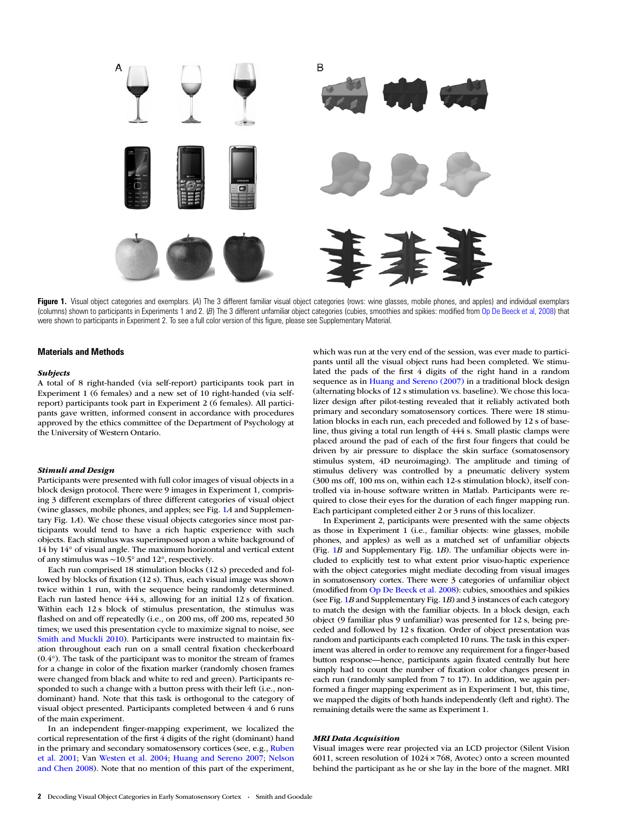<span id="page-1-0"></span>

Figure 1. Visual object categories and exemplars. (A) The 3 different familiar visual object categories (rows: wine glasses, mobile phones, and apples) and individual exemplars (columns) shown to participants in Experiments 1 and 2. (B) The 3 different unfamiliar object categories (cubies, smoothies and spikies: modified from [Op De Beeck et al, 2008\)](#page-11-0) that were shown to participants in Experiment 2. To see a full color version of this figure, please see [Supplementary Material](http://cercor.oxfordjournals.org/lookup/suppl/doi:10.1093/cercor/bht292/-/DC1).

#### Materials and Methods

#### Subjects

A total of 8 right-handed (via self-report) participants took part in Experiment 1 (6 females) and a new set of 10 right-handed (via selfreport) participants took part in Experiment 2 (6 females). All participants gave written, informed consent in accordance with procedures approved by the ethics committee of the Department of Psychology at the University of Western Ontario.

#### Stimuli and Design

Participants were presented with full color images of visual objects in a block design protocol. There were 9 images in Experiment 1, comprising 3 different exemplars of three different categories of visual object (wine glasses, mobile phones, and apples; see Fig. 1A and [Supplemen](http://cercor.oxfordjournals.org/lookup/suppl/doi:10.1093/cercor/bht292/-/DC1)[tary Fig. 1](http://cercor.oxfordjournals.org/lookup/suppl/doi:10.1093/cercor/bht292/-/DC1)A). We chose these visual objects categories since most participants would tend to have a rich haptic experience with such objects. Each stimulus was superimposed upon a white background of 14 by 14° of visual angle. The maximum horizontal and vertical extent of any stimulus was ∼10.5° and 12°, respectively.

Each run comprised 18 stimulation blocks (12 s) preceded and followed by blocks of fixation (12 s). Thus, each visual image was shown twice within 1 run, with the sequence being randomly determined. Each run lasted hence 444 s, allowing for an initial 12 s of fixation. Within each 12 s block of stimulus presentation, the stimulus was flashed on and off repeatedly (i.e., on 200 ms, off 200 ms, repeated 30 times; we used this presentation cycle to maximize signal to noise, see [Smith and Muckli 2010\)](#page-11-0). Participants were instructed to maintain fixation throughout each run on a small central fixation checkerboard (0.4°). The task of the participant was to monitor the stream of frames for a change in color of the fixation marker (randomly chosen frames were changed from black and white to red and green). Participants responded to such a change with a button press with their left (i.e., nondominant) hand. Note that this task is orthogonal to the category of visual object presented. Participants completed between 4 and 6 runs of the main experiment.

In an independent finger-mapping experiment, we localized the cortical representation of the first 4 digits of the right (dominant) hand in the primary and secondary somatosensory cortices (see, e.g., [Ruben](#page-11-0) [et al. 2001](#page-11-0); Van [Westen et al. 2004](#page-11-0); [Huang and Sereno 2007](#page-11-0); [Nelson](#page-11-0) [and Chen 2008](#page-11-0)). Note that no mention of this part of the experiment, which was run at the very end of the session, was ever made to participants until all the visual object runs had been completed. We stimulated the pads of the first 4 digits of the right hand in a random sequence as in [Huang and Sereno \(2007\)](#page-11-0) in a traditional block design (alternating blocks of 12 s stimulation vs. baseline). We chose this localizer design after pilot-testing revealed that it reliably activated both primary and secondary somatosensory cortices. There were 18 stimulation blocks in each run, each preceded and followed by 12 s of baseline, thus giving a total run length of 444 s. Small plastic clamps were placed around the pad of each of the first four fingers that could be driven by air pressure to displace the skin surface (somatosensory stimulus system, 4D neuroimaging). The amplitude and timing of stimulus delivery was controlled by a pneumatic delivery system (300 ms off, 100 ms on, within each 12-s stimulation block), itself controlled via in-house software written in Matlab. Participants were required to close their eyes for the duration of each finger mapping run. Each participant completed either 2 or 3 runs of this localizer.

In Experiment 2, participants were presented with the same objects as those in Experiment 1 (i.e., familiar objects: wine glasses, mobile phones, and apples) as well as a matched set of unfamiliar objects (Fig. 1B and [Supplementary Fig. 1](http://cercor.oxfordjournals.org/lookup/suppl/doi:10.1093/cercor/bht292/-/DC1)B). The unfamiliar objects were included to explicitly test to what extent prior visuo-haptic experience with the object categories might mediate decoding from visual images in somatosensory cortex. There were 3 categories of unfamiliar object (modified from [Op De Beeck et al. 2008](#page-11-0)): cubies, smoothies and spikies (see Fig. 1B and [Supplementary Fig. 1](http://cercor.oxfordjournals.org/lookup/suppl/doi:10.1093/cercor/bht292/-/DC1)B) and 3 instances of each category to match the design with the familiar objects. In a block design, each object (9 familiar plus 9 unfamiliar) was presented for 12 s, being preceded and followed by 12 s fixation. Order of object presentation was random and participants each completed 10 runs. The task in this experiment was altered in order to remove any requirement for a finger-based button response—hence, participants again fixated centrally but here simply had to count the number of fixation color changes present in each run (randomly sampled from 7 to 17). In addition, we again performed a finger mapping experiment as in Experiment 1 but, this time, we mapped the digits of both hands independently (left and right). The remaining details were the same as Experiment 1.

#### MRI Data Acquisition

Visual images were rear projected via an LCD projector (Silent Vision 6011, screen resolution of  $1024 \times 768$ , Avotec) onto a screen mounted behind the participant as he or she lay in the bore of the magnet. MRI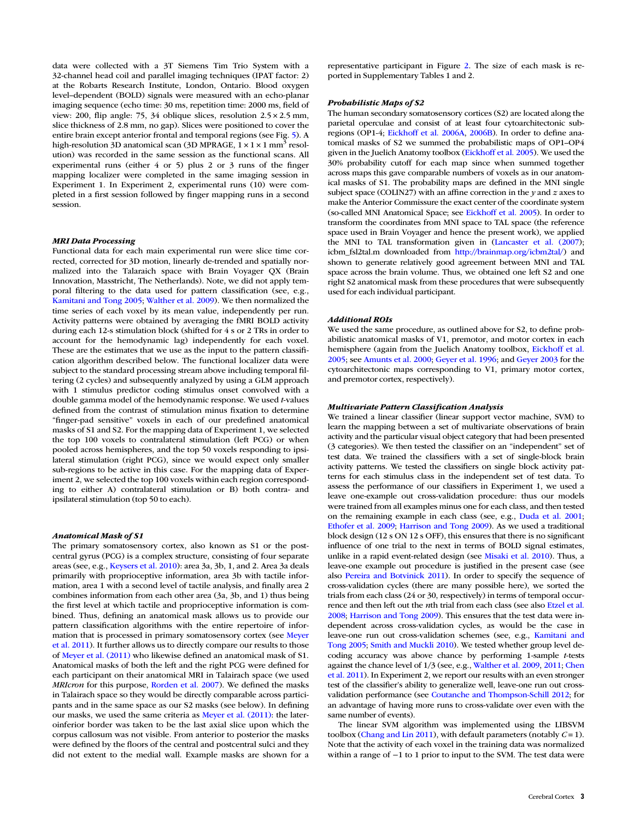data were collected with a 3T Siemens Tim Trio System with a 32-channel head coil and parallel imaging techniques (IPAT factor: 2) at the Robarts Research Institute, London, Ontario. Blood oxygen level–dependent (BOLD) signals were measured with an echo-planar imaging sequence (echo time: 30 ms, repetition time: 2000 ms, field of view: 200, flip angle: 75, 34 oblique slices, resolution 2.5 × 2.5 mm, slice thickness of 2.8 mm, no gap). Slices were positioned to cover the entire brain except anterior frontal and temporal regions (see Fig. [5\)](#page-6-0). A high-resolution 3D anatomical scan (3D MPRAGE,  $1 \times 1 \times 1$  mm<sup>3</sup> resolution) was recorded in the same session as the functional scans. All experimental runs (either 4 or 5) plus 2 or 3 runs of the finger mapping localizer were completed in the same imaging session in Experiment 1. In Experiment 2, experimental runs (10) were completed in a first session followed by finger mapping runs in a second session.

# MRI Data Processing

Functional data for each main experimental run were slice time corrected, corrected for 3D motion, linearly de-trended and spatially normalized into the Talaraich space with Brain Voyager QX (Brain Innovation, Masstricht, The Netherlands). Note, we did not apply temporal filtering to the data used for pattern classification (see, e.g., [Kamitani and Tong 2005;](#page-11-0) [Walther et al. 2009\)](#page-11-0). We then normalized the time series of each voxel by its mean value, independently per run. Activity patterns were obtained by averaging the fMRI BOLD activity during each 12-s stimulation block (shifted for 4 s or 2 TRs in order to account for the hemodynamic lag) independently for each voxel. These are the estimates that we use as the input to the pattern classification algorithm described below. The functional localizer data were subject to the standard processing stream above including temporal filtering (2 cycles) and subsequently analyzed by using a GLM approach with 1 stimulus predictor coding stimulus onset convolved with a double gamma model of the hemodynamic response. We used t-values defined from the contrast of stimulation minus fixation to determine "finger-pad sensitive" voxels in each of our predefined anatomical masks of S1 and S2. For the mapping data of Experiment 1, we selected the top 100 voxels to contralateral stimulation (left PCG) or when pooled across hemispheres, and the top 50 voxels responding to ipsilateral stimulation (right PCG), since we would expect only smaller sub-regions to be active in this case. For the mapping data of Experiment 2, we selected the top 100 voxels within each region corresponding to either A) contralateral stimulation or B) both contra- and ipsilateral stimulation (top 50 to each).

## Anatomical Mask of S1

The primary somatosensory cortex, also known as S1 or the postcentral gyrus (PCG) is a complex structure, consisting of four separate areas (see, e.g., [Keysers et al. 2010\)](#page-11-0): area 3a, 3b, 1, and 2. Area 3a deals primarily with proprioceptive information, area 3b with tactile information, area 1 with a second level of tactile analysis, and finally area 2 combines information from each other area (3a, 3b, and 1) thus being the first level at which tactile and proprioceptive information is combined. Thus, defining an anatomical mask allows us to provide our pattern classification algorithms with the entire repertoire of information that is processed in primary somatosensory cortex (see [Meyer](#page-11-0) [et al. 2011\)](#page-11-0). It further allows us to directly compare our results to those of [Meyer et al. \(2011\)](#page-11-0) who likewise defined an anatomical mask of S1. Anatomical masks of both the left and the right PCG were defined for each participant on their anatomical MRI in Talairach space (we used MRIcron for this purpose, [Rorden et al. 2007](#page-11-0)). We defined the masks in Talairach space so they would be directly comparable across participants and in the same space as our S2 masks (see below). In defining our masks, we used the same criteria as [Meyer et al. \(2011\)](#page-11-0): the lateroinferior border was taken to be the last axial slice upon which the corpus callosum was not visible. From anterior to posterior the masks were defined by the floors of the central and postcentral sulci and they did not extent to the medial wall. Example masks are shown for a

representative participant in Figure [2](#page-3-0). The size of each mask is reported in [Supplementary Tables 1 and 2.](http://cercor.oxfordjournals.org/lookup/suppl/doi:10.1093/cercor/bht292/-/DC1)

#### Probabilistic Maps of S2

The human secondary somatosensory cortices (S2) are located along the parietal operculae and consist of at least four cytoarchitectonic subregions (OP1-4; [Eickhoff et al. 2006A,](#page-10-0) [2006B](#page-10-0)). In order to define anatomical masks of S2 we summed the probabilistic maps of OP1–OP4 given in the Juelich Anatomy toolbox [\(Eickhoff et al. 2005](#page-10-0)). We used the 30% probability cutoff for each map since when summed together across maps this gave comparable numbers of voxels as in our anatomical masks of S1. The probability maps are defined in the MNI single subject space (COLIN27) with an affine correction in the  $y$  and  $z$  axes to make the Anterior Commissure the exact center of the coordinate system (so-called MNI Anatomical Space; see [Eickhoff et al. 2005\)](#page-10-0). In order to transform the coordinates from MNI space to TAL space (the reference space used in Brain Voyager and hence the present work), we applied the MNI to TAL transformation given in [\(Lancaster et al. \(2007\)](#page-11-0); icbm\_fsl2tal.m downloaded from <http://brainmap.org/icbm2tal/>) and shown to generate relatively good agreement between MNI and TAL space across the brain volume. Thus, we obtained one left S2 and one right S2 anatomical mask from these procedures that were subsequently used for each individual participant.

## Additional ROIs

We used the same procedure, as outlined above for S2, to define probabilistic anatomical masks of V1, premotor, and motor cortex in each hemisphere (again from the Juelich Anatomy toolbox, [Eickhoff et al.](#page-10-0) [2005;](#page-10-0) see [Amunts et al. 2000;](#page-10-0) [Geyer et al. 1996](#page-10-0); and [Geyer 2003](#page-10-0) for the cytoarchitectonic maps corresponding to V1, primary motor cortex, and premotor cortex, respectively).

## Multivariate Pattern Classification Analysis

We trained a linear classifier (linear support vector machine, SVM) to learn the mapping between a set of multivariate observations of brain activity and the particular visual object category that had been presented (3 categories). We then tested the classifier on an "independent" set of test data. We trained the classifiers with a set of single-block brain activity patterns. We tested the classifiers on single block activity patterns for each stimulus class in the independent set of test data. To assess the performance of our classifiers in Experiment 1, we used a leave one-example out cross-validation procedure: thus our models were trained from all examples minus one for each class, and then tested on the remaining example in each class (see, e.g., [Duda et al. 2001;](#page-10-0) [Ethofer et al. 2009;](#page-10-0) [Harrison and Tong 2009\)](#page-11-0). As we used a traditional block design (12 s ON 12 s OFF), this ensures that there is no significant influence of one trial to the next in terms of BOLD signal estimates, unlike in a rapid event-related design (see [Misaki et al. 2010\)](#page-11-0). Thus, a leave-one example out procedure is justified in the present case (see also [Pereira and Botvinick 2011\)](#page-11-0). In order to specify the sequence of cross-validation cycles (there are many possible here), we sorted the trials from each class (24 or 30, respectively) in terms of temporal occurrence and then left out the *n*th trial from each class (see also [Etzel et al.](#page-10-0) [2008;](#page-10-0) [Harrison and Tong 2009](#page-11-0)). This ensures that the test data were independent across cross-validation cycles, as would be the case in leave-one run out cross-validation schemes (see, e.g., [Kamitani and](#page-11-0) [Tong 2005;](#page-11-0) [Smith and Muckli 2010](#page-11-0)). We tested whether group level decoding accuracy was above chance by performing 1-sample t-tests against the chance level of 1/3 (see, e.g., [Walther et al. 2009](#page-11-0), [2011;](#page-11-0) [Chen](#page-10-0) [et al. 2011](#page-10-0)). In Experiment 2, we report our results with an even stronger test of the classifier's ability to generalize well, leave-one run out crossvalidation performance (see [Coutanche and Thompson-Schill 2012](#page-10-0); for an advantage of having more runs to cross-validate over even with the same number of events).

The linear SVM algorithm was implemented using the LIBSVM toolbox ([Chang and Lin 2011\)](#page-10-0), with default parameters (notably  $C = 1$ ). Note that the activity of each voxel in the training data was normalized within a range of −1 to 1 prior to input to the SVM. The test data were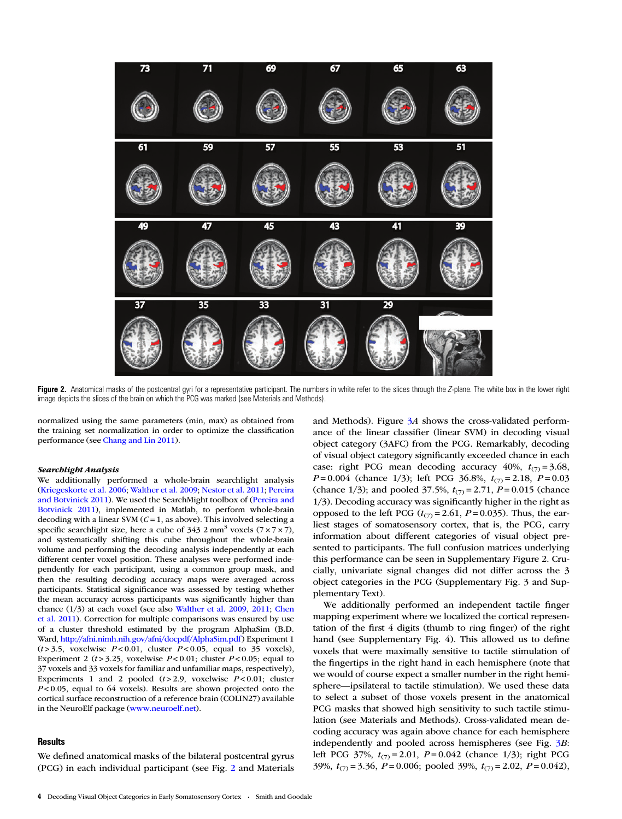<span id="page-3-0"></span>

Figure 2. Anatomical masks of the postcentral gyri for a representative participant. The numbers in white refer to the slices through the Z-plane. The white box in the lower right image depicts the slices of the brain on which the PCG was marked (see Materials and Methods).

normalized using the same parameters (min, max) as obtained from the training set normalization in order to optimize the classification performance (see [Chang and Lin 2011](#page-10-0)).

#### Searchlight Analysis

We additionally performed a whole-brain searchlight analysis ([Kriegeskorte et al. 2006;](#page-11-0) [Walther et al. 2009;](#page-11-0) [Nestor et al. 2011](#page-11-0); [Pereira](#page-11-0) [and Botvinick 2011\)](#page-11-0). We used the SearchMight toolbox of [\(Pereira and](#page-11-0) [Botvinick 2011](#page-11-0)), implemented in Matlab, to perform whole-brain decoding with a linear SVM ( $C = 1$ , as above). This involved selecting a specific searchlight size, here a cube of  $343.2 \text{ mm}^3$  voxels  $(7 \times 7 \times 7)$ , and systematically shifting this cube throughout the whole-brain volume and performing the decoding analysis independently at each different center voxel position. These analyses were performed independently for each participant, using a common group mask, and then the resulting decoding accuracy maps were averaged across participants. Statistical significance was assessed by testing whether the mean accuracy across participants was significantly higher than chance (1/3) at each voxel (see also [Walther et al. 2009](#page-11-0), [2011](#page-11-0); [Chen](#page-10-0) [et al. 2011\)](#page-10-0). Correction for multiple comparisons was ensured by use of a cluster threshold estimated by the program AlphaSim (B.D. Ward, <http://afni.nimh.nih.gov/afni/docpdf/AlphaSim.pdf>) Experiment 1  $(t > 3.5,$  voxelwise  $P < 0.01$ , cluster  $P < 0.05$ , equal to 35 voxels), Experiment 2 ( $t > 3.25$ , voxelwise  $P < 0.01$ ; cluster  $P < 0.05$ ; equal to 37 voxels and 33 voxels for familiar and unfamiliar maps, respectively), Experiments 1 and 2 pooled  $(t > 2.9)$ , voxelwise  $P < 0.01$ ; cluster  $P < 0.05$ , equal to 64 voxels). Results are shown projected onto the cortical surface reconstruction of a reference brain (COLIN27) available in the NeuroElf package (<www.neuroelf.net>).

# **Results**

We defined anatomical masks of the bilateral postcentral gyrus (PCG) in each individual participant (see Fig. 2 and Materials and Methods). Figure  $3A$  $3A$  shows the cross-validated performance of the linear classifier (linear SVM) in decoding visual object category (3AFC) from the PCG. Remarkably, decoding of visual object category significantly exceeded chance in each case: right PCG mean decoding accuracy 40%,  $t_{(7)} = 3.68$ ,  $P = 0.004$  (chance 1/3); left PCG 36.8%,  $t_{(7)} = 2.18$ ,  $P = 0.03$ (chance 1/3); and pooled 37.5%,  $t_{(7)} = 2.71$ ,  $P = 0.015$  (chance 1/3). Decoding accuracy was significantly higher in the right as opposed to the left PCG  $(t_{(7)} = 2.61, P = 0.035)$ . Thus, the earliest stages of somatosensory cortex, that is, the PCG, carry information about different categories of visual object presented to participants. The full confusion matrices underlying this performance can be seen in [Supplementary Figure 2](http://cercor.oxfordjournals.org/lookup/suppl/doi:10.1093/cercor/bht292/-/DC1). Crucially, univariate signal changes did not differ across the 3 object categories in the PCG [\(Supplementary Fig. 3 and Sup](http://cercor.oxfordjournals.org/lookup/suppl/doi:10.1093/cercor/bht292/-/DC1)[plementary Text](http://cercor.oxfordjournals.org/lookup/suppl/doi:10.1093/cercor/bht292/-/DC1)).

We additionally performed an independent tactile finger mapping experiment where we localized the cortical representation of the first 4 digits (thumb to ring finger) of the right hand (see [Supplementary Fig. 4\)](http://cercor.oxfordjournals.org/lookup/suppl/doi:10.1093/cercor/bht292/-/DC1). This allowed us to define voxels that were maximally sensitive to tactile stimulation of the fingertips in the right hand in each hemisphere (note that we would of course expect a smaller number in the right hemisphere—ipsilateral to tactile stimulation). We used these data to select a subset of those voxels present in the anatomical PCG masks that showed high sensitivity to such tactile stimulation (see Materials and Methods). Cross-validated mean decoding accuracy was again above chance for each hemisphere independently and pooled across hemispheres (see Fig. [3](#page-4-0)B: left PCG 37%,  $t_{(7)} = 2.01$ ,  $P = 0.042$  (chance 1/3); right PCG 39%,  $t_{(7)} = 3.36$ ,  $P = 0.006$ ; pooled 39%,  $t_{(7)} = 2.02$ ,  $P = 0.042$ ),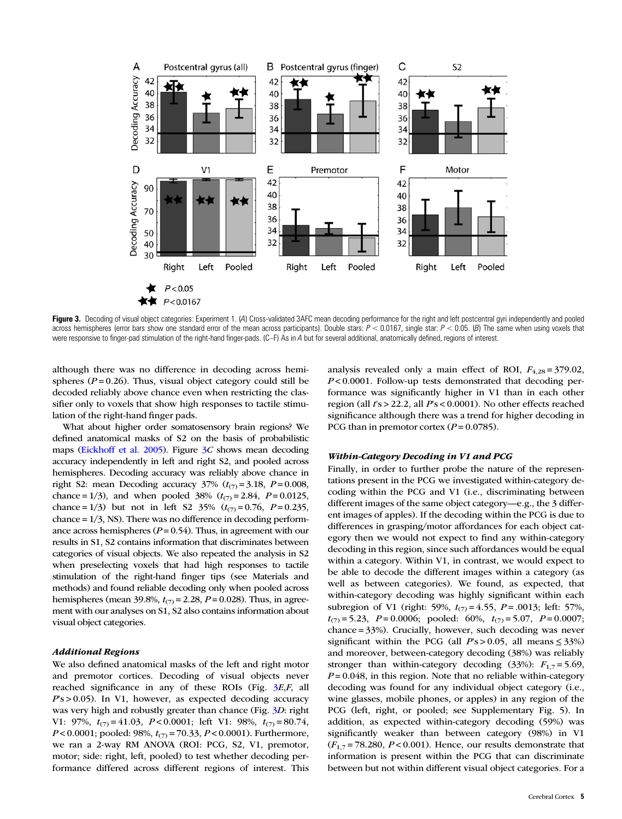<span id="page-4-0"></span>

Figure 3. Decoding of visual object categories: Experiment 1. (4) Cross-validated 3AFC mean decoding performance for the right and left postcentral gyri independently and pooled across hemispheres (error bars show one standard error of the mean across participants). Double stars:  $P < 0.0167$ , single star:  $P < 0.05$ . (B) The same when using voxels that were responsive to finger-pad stimulation of the right-hand finger-pads. (C–F) As in A but for several additional, anatomically defined, regions of interest.

although there was no difference in decoding across hemispheres ( $P = 0.26$ ). Thus, visual object category could still be decoded reliably above chance even when restricting the classifier only to voxels that show high responses to tactile stimulation of the right-hand finger pads.

What about higher order somatosensory brain regions? We defined anatomical masks of S2 on the basis of probabilistic maps [\(Eickhoff et al. 2005](#page-10-0)). Figure  $3C$  shows mean decoding accuracy independently in left and right S2, and pooled across hemispheres. Decoding accuracy was reliably above chance in right S2: mean Decoding accuracy  $37\%$   $(t_{(7)} = 3.18, P = 0.008,$ chance = 1/3), and when pooled 38%  $(t_{(7)} = 2.84, P = 0.0125,$ chance = 1/3) but not in left S2 35%  $(t_{(7)} = 0.76, P = 0.235,$ chance  $= 1/3$ , NS). There was no difference in decoding performance across hemispheres ( $P = 0.54$ ). Thus, in agreement with our results in S1, S2 contains information that discriminates between categories of visual objects. We also repeated the analysis in S2 when preselecting voxels that had high responses to tactile stimulation of the right-hand finger tips (see Materials and methods) and found reliable decoding only when pooled across hemispheres (mean 39.8%,  $t_{(7)} = 2.28$ ,  $P = 0.028$ ). Thus, in agreement with our analyses on S1, S2 also contains information about visual object categories.

# Additional Regions

We also defined anatomical masks of the left and right motor and premotor cortices. Decoding of visual objects never reached significance in any of these ROIs (Fig. 3E,F, all  $Ps > 0.05$ ). In V1, however, as expected decoding accuracy was very high and robustly greater than chance (Fig. 3D: right V1: 97%,  $t_{(7)} = 41.03$ ,  $P < 0.0001$ ; left V1: 98%,  $t_{(7)} = 80.74$ ,  $P < 0.0001$ ; pooled: 98%,  $t_{(7)} = 70.33$ ,  $P < 0.0001$ ). Furthermore, we ran a 2-way RM ANOVA (ROI: PCG, S2, V1, premotor, motor; side: right, left, pooled) to test whether decoding performance differed across different regions of interest. This analysis revealed only a main effect of ROI,  $F_{4,28} = 379.02$ ,  $P < 0.0001$ . Follow-up tests demonstrated that decoding performance was significantly higher in V1 than in each other region (all  $rs > 22.2$ , all  $Ps < 0.0001$ ). No other effects reached significance although there was a trend for higher decoding in PCG than in premotor cortex  $(P = 0.0785)$ .

## Within-Category Decoding in V1 and PCG

Finally, in order to further probe the nature of the representations present in the PCG we investigated within-category decoding within the PCG and V1 (i.e., discriminating between different images of the same object category—e.g., the 3 different images of apples). If the decoding within the PCG is due to differences in grasping/motor affordances for each object category then we would not expect to find any within-category decoding in this region, since such affordances would be equal within a category. Within V1, in contrast, we would expect to be able to decode the different images within a category (as well as between categories). We found, as expected, that within-category decoding was highly significant within each subregion of V1 (right: 59%,  $t_{(7)} = 4.55$ ,  $P = .0013$ ; left: 57%,  $t_{(7)} = 5.23$ ,  $P = 0.0006$ ; pooled: 60%,  $t_{(7)} = 5.07$ ,  $P = 0.0007$ ; chance = 33%). Crucially, however, such decoding was never significant within the PCG (all  $Ps > 0.05$ , all means  $\leq 33\%$ ) and moreover, between-category decoding (38%) was reliably stronger than within-category decoding (33%):  $F_{1,7} = 5.69$ ,  $P = 0.048$ , in this region. Note that no reliable within-category decoding was found for any individual object category (i.e., wine glasses, mobile phones, or apples) in any region of the PCG (left, right, or pooled; see [Supplementary Fig. 5](http://cercor.oxfordjournals.org/lookup/suppl/doi:10.1093/cercor/bht292/-/DC1)). In addition, as expected within-category decoding (59%) was significantly weaker than between category (98%) in V1  $(F_{1,7} = 78.280, P < 0.001)$ . Hence, our results demonstrate that information is present within the PCG that can discriminate between but not within different visual object categories. For a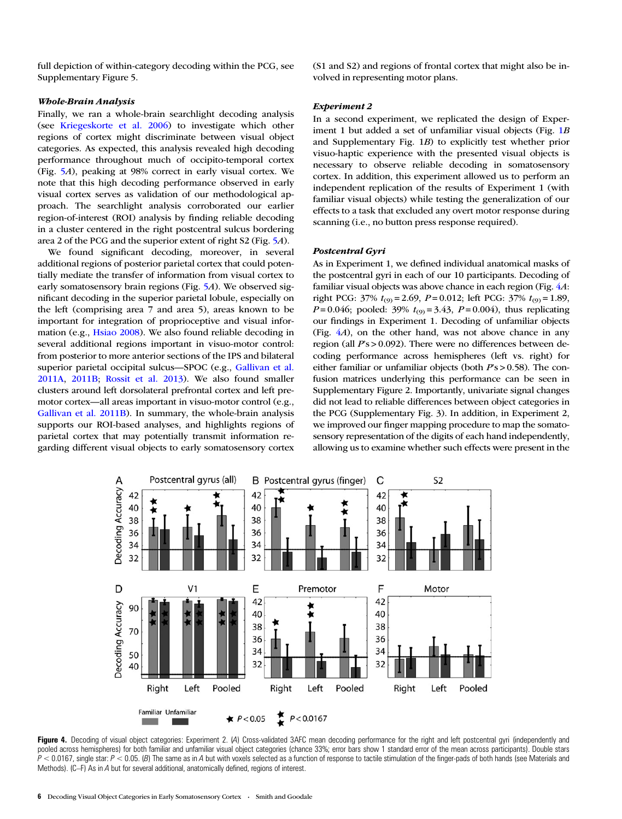<span id="page-5-0"></span>full depiction of within-category decoding within the PCG, see [Supplementary Figure 5.](http://cercor.oxfordjournals.org/lookup/suppl/doi:10.1093/cercor/bht292/-/DC1)

# Whole-Brain Analysis

Finally, we ran a whole-brain searchlight decoding analysis (see [Kriegeskorte et al. 2006](#page-11-0)) to investigate which other regions of cortex might discriminate between visual object categories. As expected, this analysis revealed high decoding performance throughout much of occipito-temporal cortex (Fig. [5](#page-6-0)A), peaking at 98% correct in early visual cortex. We note that this high decoding performance observed in early visual cortex serves as validation of our methodological approach. The searchlight analysis corroborated our earlier region-of-interest (ROI) analysis by finding reliable decoding in a cluster centered in the right postcentral sulcus bordering area 2 of the PCG and the superior extent of right S2 (Fig. [5](#page-6-0)A).

We found significant decoding, moreover, in several additional regions of posterior parietal cortex that could potentially mediate the transfer of information from visual cortex to early somatosensory brain regions (Fig. [5](#page-6-0)A). We observed significant decoding in the superior parietal lobule, especially on the left (comprising area 7 and area 5), areas known to be important for integration of proprioceptive and visual information (e.g., [Hsiao 2008](#page-11-0)). We also found reliable decoding in several additional regions important in visuo-motor control: from posterior to more anterior sections of the IPS and bilateral superior parietal occipital sulcus—SPOC (e.g., [Gallivan et al.](#page-10-0) [2011A,](#page-10-0) [2011B](#page-10-0); [Rossit et al. 2013\)](#page-11-0). We also found smaller clusters around left dorsolateral prefrontal cortex and left premotor cortex—all areas important in visuo-motor control (e.g., [Gallivan et al. 2011B](#page-10-0)). In summary, the whole-brain analysis supports our ROI-based analyses, and highlights regions of parietal cortex that may potentially transmit information regarding different visual objects to early somatosensory cortex

(S1 and S2) and regions of frontal cortex that might also be involved in representing motor plans.

## Experiment 2

In a second experiment, we replicated the design of Exper-iment [1](#page-1-0) but added a set of unfamiliar visual objects (Fig. 1B and [Supplementary Fig. 1](http://cercor.oxfordjournals.org/lookup/suppl/doi:10.1093/cercor/bht292/-/DC1)B) to explicitly test whether prior visuo-haptic experience with the presented visual objects is necessary to observe reliable decoding in somatosensory cortex. In addition, this experiment allowed us to perform an independent replication of the results of Experiment 1 (with familiar visual objects) while testing the generalization of our effects to a task that excluded any overt motor response during scanning (i.e., no button press response required).

# Postcentral Gyri

As in Experiment 1, we defined individual anatomical masks of the postcentral gyri in each of our 10 participants. Decoding of familiar visual objects was above chance in each region (Fig. 4A: right PCG:  $37\%$   $t_{(9)} = 2.69$ ,  $P = 0.012$ ; left PCG:  $37\%$   $t_{(9)} = 1.89$ ,  $P = 0.046$ ; pooled: 39%  $t_{(9)} = 3.43$ ,  $P = 0.004$ ), thus replicating our findings in Experiment 1. Decoding of unfamiliar objects (Fig. 4A), on the other hand, was not above chance in any region (all  $Ps > 0.092$ ). There were no differences between decoding performance across hemispheres (left vs. right) for either familiar or unfamiliar objects (both  $Ps > 0.58$ ). The confusion matrices underlying this performance can be seen in [Supplementary Figure 2.](http://cercor.oxfordjournals.org/lookup/suppl/doi:10.1093/cercor/bht292/-/DC1) Importantly, univariate signal changes did not lead to reliable differences between object categories in the PCG ([Supplementary Fig. 3](http://cercor.oxfordjournals.org/lookup/suppl/doi:10.1093/cercor/bht292/-/DC1)). In addition, in Experiment 2, we improved our finger mapping procedure to map the somatosensory representation of the digits of each hand independently, allowing us to examine whether such effects were present in the



Figure 4. Decoding of visual object categories: Experiment 2. (A) Cross-validated 3AFC mean decoding performance for the right and left postcentral gyri (independently and pooled across hemispheres) for both familiar and unfamiliar visual object categories (chance 33%; error bars show 1 standard error of the mean across participants). Double stars  $P < 0.0167$ , single star:  $P < 0.05$ . (B) The same as in A but with voxels selected as a function of response to tactile stimulation of the finger-pads of both hands (see Materials and Methods). (C–F) As in A but for several additional, anatomically defined, regions of interest.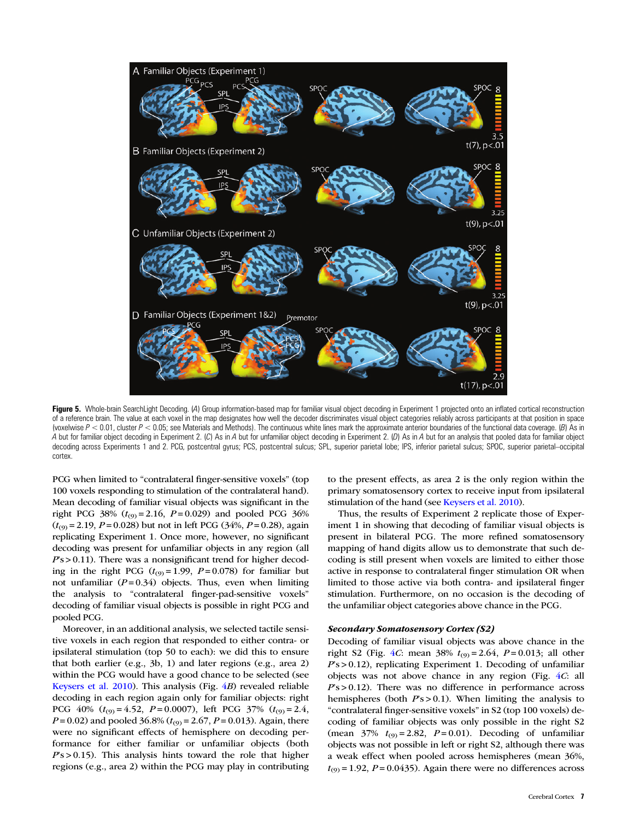<span id="page-6-0"></span>

Figure 5. Whole-brain SearchLight Decoding. (A) Group information-based map for familiar visual object decoding in Experiment 1 projected onto an inflated cortical reconstruction of a reference brain. The value at each voxel in the map designates how well the decoder discriminates visual object categories reliably across participants at that position in space (voxelwise  $P < 0.01$ , cluster  $P < 0.05$ ; see Materials and Methods). The continuous white lines mark the approximate anterior boundaries of the functional data coverage. (B) As in A but for familiar object decoding in Experiment 2. (C) As in A but for unfamiliar object decoding in Experiment 2. (D) As in A but for an analysis that pooled data for familiar object decoding across Experiments 1 and 2. PCG, postcentral gyrus; PCS, postcentral sulcus; SPL, superior parietal lobe; IPS, inferior parietal sulcus; SPOC, superior parietal–occipital cortex.

PCG when limited to "contralateral finger-sensitive voxels" (top 100 voxels responding to stimulation of the contralateral hand). Mean decoding of familiar visual objects was significant in the right PCG 38% ( $t_{(9)} = 2.16$ ,  $P = 0.029$ ) and pooled PCG 36%  $(t<sub>(9)</sub> = 2.19, P = 0.028)$  but not in left PCG (34%, P = 0.28), again replicating Experiment 1. Once more, however, no significant decoding was present for unfamiliar objects in any region (all  $Ps > 0.11$ ). There was a nonsignificant trend for higher decoding in the right PCG ( $t_{(9)} = 1.99$ ,  $P = 0.078$ ) for familiar but not unfamiliar  $(P=0.34)$  objects. Thus, even when limiting the analysis to "contralateral finger-pad-sensitive voxels" decoding of familiar visual objects is possible in right PCG and pooled PCG.

Moreover, in an additional analysis, we selected tactile sensitive voxels in each region that responded to either contra- or ipsilateral stimulation (top 50 to each): we did this to ensure that both earlier (e.g., 3b, 1) and later regions (e.g., area 2) within the PCG would have a good chance to be selected (see [Keysers et al. 2010](#page-11-0)). This analysis (Fig. [4](#page-5-0)B) revealed reliable decoding in each region again only for familiar objects: right PCG 40%  $(t_{(9)} = 4.52, P = 0.0007)$ , left PCG 37%  $(t_{(9)} = 2.4,$  $P = 0.02$ ) and pooled 36.8% ( $t_{(9)} = 2.67$ ,  $P = 0.013$ ). Again, there were no significant effects of hemisphere on decoding performance for either familiar or unfamiliar objects (both  $Ps > 0.15$ ). This analysis hints toward the role that higher regions (e.g., area 2) within the PCG may play in contributing to the present effects, as area 2 is the only region within the primary somatosensory cortex to receive input from ipsilateral stimulation of the hand (see [Keysers et al. 2010](#page-11-0)).

Thus, the results of Experiment 2 replicate those of Experiment 1 in showing that decoding of familiar visual objects is present in bilateral PCG. The more refined somatosensory mapping of hand digits allow us to demonstrate that such decoding is still present when voxels are limited to either those active in response to contralateral finger stimulation OR when limited to those active via both contra- and ipsilateral finger stimulation. Furthermore, on no occasion is the decoding of the unfamiliar object categories above chance in the PCG.

## Secondary Somatosensory Cortex (S2)

Decoding of familiar visual objects was above chance in the right S2 (Fig. [4](#page-5-0)*C*: mean 38%  $t_{(9)} = 2.64$ ,  $P = 0.013$ ; all other  $Ps > 0.12$ ), replicating Experiment 1. Decoding of unfamiliar objects was not above chance in any region (Fig. [4](#page-5-0)C: all  $Ps > 0.12$ ). There was no difference in performance across hemispheres (both  $Ps > 0.1$ ). When limiting the analysis to "contralateral finger-sensitive voxels" in S2 (top 100 voxels) decoding of familiar objects was only possible in the right S2 (mean  $37\%$   $t_{(9)} = 2.82$ ,  $P = 0.01$ ). Decoding of unfamiliar objects was not possible in left or right S2, although there was a weak effect when pooled across hemispheres (mean 36%,  $t_{(9)} = 1.92$ ,  $P = 0.0435$ ). Again there were no differences across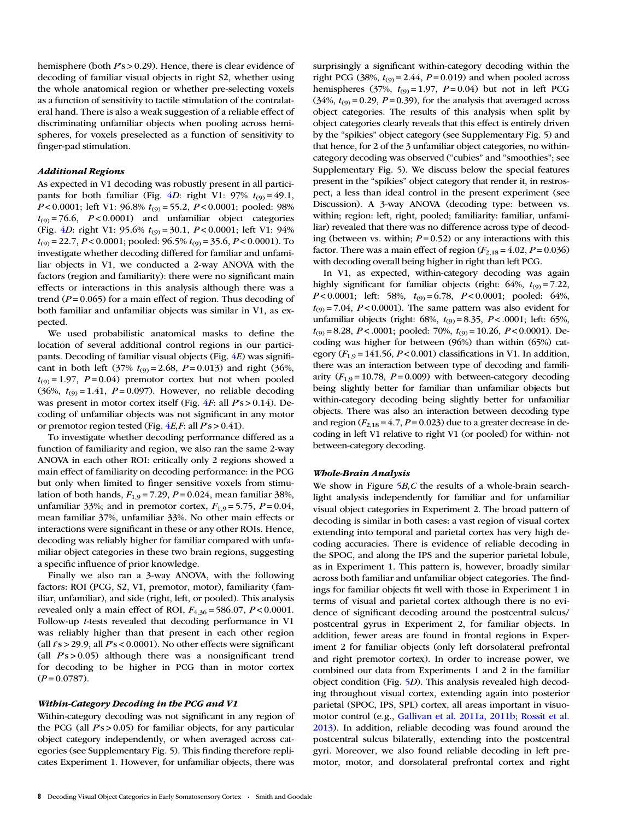hemisphere (both  $Ps > 0.29$ ). Hence, there is clear evidence of decoding of familiar visual objects in right S2, whether using the whole anatomical region or whether pre-selecting voxels as a function of sensitivity to tactile stimulation of the contralateral hand. There is also a weak suggestion of a reliable effect of discriminating unfamiliar objects when pooling across hemispheres, for voxels preselected as a function of sensitivity to finger-pad stimulation.

#### Additional Regions

As expected in V1 decoding was robustly present in all partici-pants for both familiar (Fig. [4](#page-5-0)D: right V1:  $97\%$   $t_{(9)} = 49.1$ ,  $P < 0.0001$ ; left V1: 96.8%  $t_{(9)} = 55.2$ ,  $P < 0.0001$ ; pooled: 98%  $t_{(9)} = 76.6$ ,  $P < 0.0001$ ) and unfamiliar object categories (Fig. [4](#page-5-0)D: right V1: 95.6%  $t_{(9)} = 30.1$ ,  $P < 0.0001$ ; left V1: 94%  $t_{(9)} = 22.7$ ,  $P < 0.0001$ ; pooled:  $96.5\%$   $t_{(9)} = 35.6$ ,  $P < 0.0001$ ). To investigate whether decoding differed for familiar and unfamiliar objects in V1, we conducted a 2-way ANOVA with the factors (region and familiarity): there were no significant main effects or interactions in this analysis although there was a trend ( $P = 0.065$ ) for a main effect of region. Thus decoding of both familiar and unfamiliar objects was similar in V1, as expected.

We used probabilistic anatomical masks to define the location of several additional control regions in our participants. Decoding of familiar visual objects (Fig.  $4E$  $4E$ ) was significant in both left (37%  $t_{(9)} = 2.68$ ,  $P = 0.013$ ) and right (36%,  $t_{(9)} = 1.97$ ,  $P = 0.04$ ) premotor cortex but not when pooled (36%,  $t_{(9)} = 1.41$ ,  $P = 0.097$ ). However, no reliable decoding was present in motor cortex itself (Fig. [4](#page-5-0)F: all  $Ps > 0.14$ ). Decoding of unfamiliar objects was not significant in any motor or premotor region tested (Fig.  $4E, F$  $4E, F$ : all  $P$ 's > 0.41).

To investigate whether decoding performance differed as a function of familiarity and region, we also ran the same 2-way ANOVA in each other ROI: critically only 2 regions showed a main effect of familiarity on decoding performance: in the PCG but only when limited to finger sensitive voxels from stimulation of both hands,  $F_{1,9} = 7.29$ ,  $P = 0.024$ , mean familiar 38%, unfamiliar 33%; and in premotor cortex,  $F_{1,9} = 5.75$ ,  $P = 0.04$ , mean familiar 37%, unfamiliar 33%. No other main effects or interactions were significant in these or any other ROIs. Hence, decoding was reliably higher for familiar compared with unfamiliar object categories in these two brain regions, suggesting a specific influence of prior knowledge.

Finally we also ran a 3-way ANOVA, with the following factors: ROI (PCG, S2, V1, premotor, motor), familiarity (familiar, unfamiliar), and side (right, left, or pooled). This analysis revealed only a main effect of ROI,  $F_{4,36} = 586.07$ ,  $P < 0.0001$ . Follow-up t-tests revealed that decoding performance in V1 was reliably higher than that present in each other region (all  $rs > 29.9$ , all  $Ps < 0.0001$ ). No other effects were significant (all  $Ps > 0.05$ ) although there was a nonsignificant trend for decoding to be higher in PCG than in motor cortex  $(P = 0.0787)$ .

# Within-Category Decoding in the PCG and V1

Within-category decoding was not significant in any region of the PCG (all  $Ps > 0.05$ ) for familiar objects, for any particular object category independently, or when averaged across categories (see [Supplementary Fig. 5](http://cercor.oxfordjournals.org/lookup/suppl/doi:10.1093/cercor/bht292/-/DC1)). This finding therefore replicates Experiment 1. However, for unfamiliar objects, there was

surprisingly a significant within-category decoding within the right PCG (38%,  $t_{(9)} = 2.44$ ,  $P = 0.019$ ) and when pooled across hemispheres (37%,  $t_{(9)} = 1.97$ ,  $P = 0.04$ ) but not in left PCG  $(34\%, t_{(9)} = 0.29, P = 0.39)$ , for the analysis that averaged across object categories. The results of this analysis when split by object categories clearly reveals that this effect is entirely driven by the "spikies" object category (see [Supplementary Fig. 5\)](http://cercor.oxfordjournals.org/lookup/suppl/doi:10.1093/cercor/bht292/-/DC1) and that hence, for 2 of the 3 unfamiliar object categories, no withincategory decoding was observed ("cubies" and "smoothies"; see [Supplementary Fig. 5\)](http://cercor.oxfordjournals.org/lookup/suppl/doi:10.1093/cercor/bht292/-/DC1). We discuss below the special features present in the "spikies" object category that render it, in restrospect, a less than ideal control in the present experiment (see Discussion). A 3-way ANOVA (decoding type: between vs. within; region: left, right, pooled; familiarity: familiar, unfamiliar) revealed that there was no difference across type of decoding (between vs. within;  $P = 0.52$ ) or any interactions with this factor. There was a main effect of region  $(F_{2,18} = 4.02, P = 0.036)$ with decoding overall being higher in right than left PCG.

In V1, as expected, within-category decoding was again highly significant for familiar objects (right:  $64\%$ ,  $t_{(9)} = 7.22$ ,  $P < 0.0001$ ; left: 58%,  $t_{(9)} = 6.78$ ,  $P < 0.0001$ ; pooled: 64%,  $t_{(9)}$  = 7.04, P < 0.0001). The same pattern was also evident for unfamiliar objects (right:  $68\%, t_{(9)} = 8.35, P < .0001$ ; left:  $65\%,$  $t_{(9)} = 8.28$ ,  $P < .0001$ ; pooled: 70%,  $t_{(9)} = 10.26$ ,  $P < 0.0001$ ). Decoding was higher for between (96%) than within (65%) category ( $F_{1,9}$  = 141.56,  $P < 0.001$ ) classifications in V1. In addition, there was an interaction between type of decoding and familiarity  $(F_{1,9} = 10.78, P = 0.009)$  with between-category decoding being slightly better for familiar than unfamiliar objects but within-category decoding being slightly better for unfamiliar objects. There was also an interaction between decoding type and region  $(F_{2,18} = 4.7, P = 0.023)$  due to a greater decrease in decoding in left V1 relative to right V1 (or pooled) for within- not between-category decoding.

#### Whole-Brain Analysis

We show in Figure  $5B$  $5B$ , C the results of a whole-brain searchlight analysis independently for familiar and for unfamiliar visual object categories in Experiment 2. The broad pattern of decoding is similar in both cases: a vast region of visual cortex extending into temporal and parietal cortex has very high decoding accuracies. There is evidence of reliable decoding in the SPOC, and along the IPS and the superior parietal lobule, as in Experiment 1. This pattern is, however, broadly similar across both familiar and unfamiliar object categories. The findings for familiar objects fit well with those in Experiment 1 in terms of visual and parietal cortex although there is no evidence of significant decoding around the postcentral sulcus/ postcentral gyrus in Experiment 2, for familiar objects. In addition, fewer areas are found in frontal regions in Experiment 2 for familiar objects (only left dorsolateral prefrontal and right premotor cortex). In order to increase power, we combined our data from Experiments 1 and 2 in the familiar object condition (Fig. [5](#page-6-0)D). This analysis revealed high decoding throughout visual cortex, extending again into posterior parietal (SPOC, IPS, SPL) cortex, all areas important in visuomotor control (e.g., [Gallivan et al. 2011a](#page-10-0), [2011b](#page-10-0); [Rossit et al.](#page-11-0) [2013\)](#page-11-0). In addition, reliable decoding was found around the postcentral sulcus bilaterally, extending into the postcentral gyri. Moreover, we also found reliable decoding in left premotor, motor, and dorsolateral prefrontal cortex and right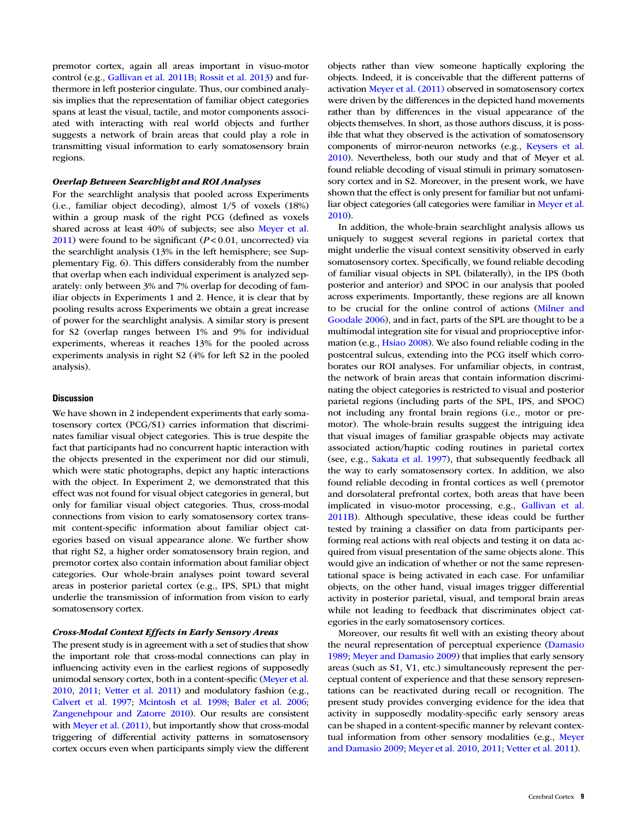premotor cortex, again all areas important in visuo-motor control (e.g., [Gallivan et al. 2011B](#page-10-0); [Rossit et al. 2013](#page-11-0)) and furthermore in left posterior cingulate. Thus, our combined analysis implies that the representation of familiar object categories spans at least the visual, tactile, and motor components associated with interacting with real world objects and further suggests a network of brain areas that could play a role in transmitting visual information to early somatosensory brain regions.

# Overlap Between Searchlight and ROI Analyses

For the searchlight analysis that pooled across Experiments (i.e., familiar object decoding), almost 1/5 of voxels (18%) within a group mask of the right PCG (defined as voxels shared across at least 40% of subjects; see also [Meyer et al.](#page-11-0)  $2011$ ) were found to be significant ( $P < 0.01$ , uncorrected) via the searchlight analysis (13% in the left hemisphere; see [Sup](http://cercor.oxfordjournals.org/lookup/suppl/doi:10.1093/cercor/bht292/-/DC1)[plementary Fig. 6](http://cercor.oxfordjournals.org/lookup/suppl/doi:10.1093/cercor/bht292/-/DC1)). This differs considerably from the number that overlap when each individual experiment is analyzed separately: only between 3% and 7% overlap for decoding of familiar objects in Experiments 1 and 2. Hence, it is clear that by pooling results across Experiments we obtain a great increase of power for the searchlight analysis. A similar story is present for S2 (overlap ranges between 1% and 9% for individual experiments, whereas it reaches 13% for the pooled across experiments analysis in right S2 (4% for left S2 in the pooled analysis).

# **Discussion**

We have shown in 2 independent experiments that early somatosensory cortex (PCG/S1) carries information that discriminates familiar visual object categories. This is true despite the fact that participants had no concurrent haptic interaction with the objects presented in the experiment nor did our stimuli, which were static photographs, depict any haptic interactions with the object. In Experiment 2, we demonstrated that this effect was not found for visual object categories in general, but only for familiar visual object categories. Thus, cross-modal connections from vision to early somatosensory cortex transmit content-specific information about familiar object categories based on visual appearance alone. We further show that right S2, a higher order somatosensory brain region, and premotor cortex also contain information about familiar object categories. Our whole-brain analyses point toward several areas in posterior parietal cortex (e.g., IPS, SPL) that might underlie the transmission of information from vision to early somatosensory cortex.

## Cross-Modal Context Effects in Early Sensory Areas

The present study is in agreement with a set of studies that show the important role that cross-modal connections can play in influencing activity even in the earliest regions of supposedly unimodal sensory cortex, both in a content-specific [\(Meyer et al.](#page-11-0) [2010,](#page-11-0) [2011;](#page-11-0) [Vetter et al. 2011](#page-11-0)) and modulatory fashion (e.g., [Calvert et al. 1997;](#page-10-0) [Mcintosh et al. 1998;](#page-11-0) [Baler et al. 2006;](#page-10-0) [Zangenehpour and Zatorre 2010](#page-11-0)). Our results are consistent with [Meyer et al. \(2011\),](#page-11-0) but importantly show that cross-modal triggering of differential activity patterns in somatosensory cortex occurs even when participants simply view the different

objects rather than view someone haptically exploring the objects. Indeed, it is conceivable that the different patterns of activation [Meyer et al. \(2011\)](#page-11-0) observed in somatosensory cortex were driven by the differences in the depicted hand movements rather than by differences in the visual appearance of the objects themselves. In short, as those authors discuss, it is possible that what they observed is the activation of somatosensory components of mirror-neuron networks (e.g., [Keysers et al.](#page-11-0) [2010\)](#page-11-0). Nevertheless, both our study and that of Meyer et al. found reliable decoding of visual stimuli in primary somatosensory cortex and in S2. Moreover, in the present work, we have shown that the effect is only present for familiar but not unfamiliar object categories (all categories were familiar in [Meyer et al.](#page-11-0) [2010\)](#page-11-0).

In addition, the whole-brain searchlight analysis allows us uniquely to suggest several regions in parietal cortex that might underlie the visual context sensitivity observed in early somatosensory cortex. Specifically, we found reliable decoding of familiar visual objects in SPL (bilaterally), in the IPS (both posterior and anterior) and SPOC in our analysis that pooled across experiments. Importantly, these regions are all known to be crucial for the online control of actions [\(Milner and](#page-11-0) [Goodale 2006\)](#page-11-0), and in fact, parts of the SPL are thought to be a multimodal integration site for visual and proprioceptive information (e.g., [Hsiao 2008\)](#page-11-0). We also found reliable coding in the postcentral sulcus, extending into the PCG itself which corroborates our ROI analyses. For unfamiliar objects, in contrast, the network of brain areas that contain information discriminating the object categories is restricted to visual and posterior parietal regions (including parts of the SPL, IPS, and SPOC) not including any frontal brain regions (i.e., motor or premotor). The whole-brain results suggest the intriguing idea that visual images of familiar graspable objects may activate associated action/haptic coding routines in parietal cortex (see, e.g., [Sakata et al. 1997\)](#page-11-0), that subsequently feedback all the way to early somatosensory cortex. In addition, we also found reliable decoding in frontal cortices as well (premotor and dorsolateral prefrontal cortex, both areas that have been implicated in visuo-motor processing, e.g., [Gallivan et al.](#page-10-0) [2011B](#page-10-0)). Although speculative, these ideas could be further tested by training a classifier on data from participants performing real actions with real objects and testing it on data acquired from visual presentation of the same objects alone. This would give an indication of whether or not the same representational space is being activated in each case. For unfamiliar objects, on the other hand, visual images trigger differential activity in posterior parietal, visual, and temporal brain areas while not leading to feedback that discriminates object categories in the early somatosensory cortices.

Moreover, our results fit well with an existing theory about the neural representation of perceptual experience ([Damasio](#page-10-0) [1989](#page-10-0); [Meyer and Damasio 2009\)](#page-11-0) that implies that early sensory areas (such as S1, V1, etc.) simultaneously represent the perceptual content of experience and that these sensory representations can be reactivated during recall or recognition. The present study provides converging evidence for the idea that activity in supposedly modality-specific early sensory areas can be shaped in a content-specific manner by relevant contextual information from other sensory modalities (e.g., [Meyer](#page-11-0) [and Damasio 2009](#page-11-0); [Meyer et al. 2010,](#page-11-0) [2011](#page-11-0); [Vetter et al. 2011\)](#page-11-0).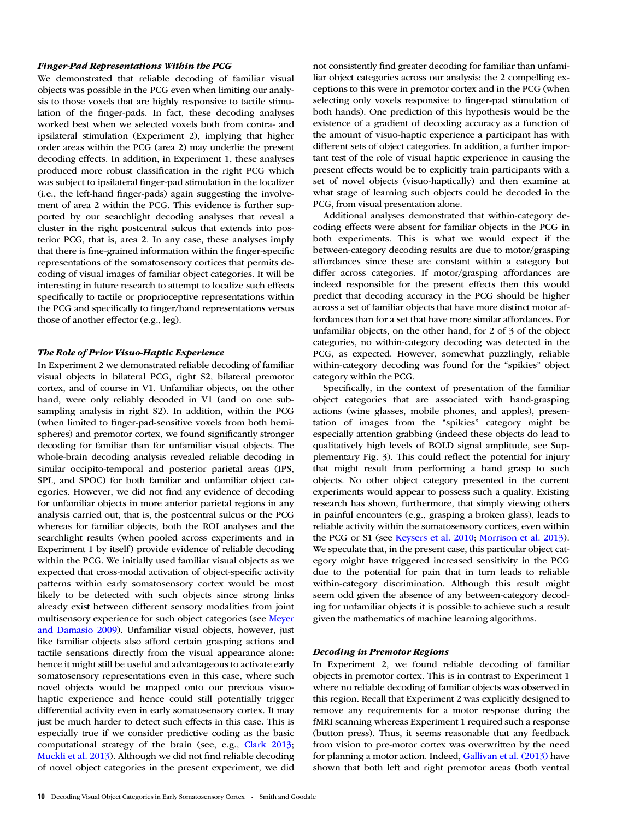## Finger-Pad Representations Within the PCG

We demonstrated that reliable decoding of familiar visual objects was possible in the PCG even when limiting our analysis to those voxels that are highly responsive to tactile stimulation of the finger-pads. In fact, these decoding analyses worked best when we selected voxels both from contra- and ipsilateral stimulation (Experiment 2), implying that higher order areas within the PCG (area 2) may underlie the present decoding effects. In addition, in Experiment 1, these analyses produced more robust classification in the right PCG which was subject to ipsilateral finger-pad stimulation in the localizer (i.e., the left-hand finger-pads) again suggesting the involvement of area 2 within the PCG. This evidence is further supported by our searchlight decoding analyses that reveal a cluster in the right postcentral sulcus that extends into posterior PCG, that is, area 2. In any case, these analyses imply that there is fine-grained information within the finger-specific representations of the somatosensory cortices that permits decoding of visual images of familiar object categories. It will be interesting in future research to attempt to localize such effects specifically to tactile or proprioceptive representations within the PCG and specifically to finger/hand representations versus those of another effector (e.g., leg).

# The Role of Prior Visuo-Haptic Experience

In Experiment 2 we demonstrated reliable decoding of familiar visual objects in bilateral PCG, right S2, bilateral premotor cortex, and of course in V1. Unfamiliar objects, on the other hand, were only reliably decoded in V1 (and on one subsampling analysis in right S2). In addition, within the PCG (when limited to finger-pad-sensitive voxels from both hemispheres) and premotor cortex, we found significantly stronger decoding for familiar than for unfamiliar visual objects. The whole-brain decoding analysis revealed reliable decoding in similar occipito-temporal and posterior parietal areas (IPS, SPL, and SPOC) for both familiar and unfamiliar object categories. However, we did not find any evidence of decoding for unfamiliar objects in more anterior parietal regions in any analysis carried out, that is, the postcentral sulcus or the PCG whereas for familiar objects, both the ROI analyses and the searchlight results (when pooled across experiments and in Experiment 1 by itself) provide evidence of reliable decoding within the PCG. We initially used familiar visual objects as we expected that cross-modal activation of object-specific activity patterns within early somatosensory cortex would be most likely to be detected with such objects since strong links already exist between different sensory modalities from joint multisensory experience for such object categories (see [Meyer](#page-11-0) [and Damasio 2009\)](#page-11-0). Unfamiliar visual objects, however, just like familiar objects also afford certain grasping actions and tactile sensations directly from the visual appearance alone: hence it might still be useful and advantageous to activate early somatosensory representations even in this case, where such novel objects would be mapped onto our previous visuohaptic experience and hence could still potentially trigger differential activity even in early somatosensory cortex. It may just be much harder to detect such effects in this case. This is especially true if we consider predictive coding as the basic computational strategy of the brain (see, e.g., [Clark 2013](#page-10-0); [Muckli et al. 2013\)](#page-11-0). Although we did not find reliable decoding of novel object categories in the present experiment, we did not consistently find greater decoding for familiar than unfamiliar object categories across our analysis: the 2 compelling exceptions to this were in premotor cortex and in the PCG (when selecting only voxels responsive to finger-pad stimulation of both hands). One prediction of this hypothesis would be the existence of a gradient of decoding accuracy as a function of the amount of visuo-haptic experience a participant has with different sets of object categories. In addition, a further important test of the role of visual haptic experience in causing the present effects would be to explicitly train participants with a set of novel objects (visuo-haptically) and then examine at what stage of learning such objects could be decoded in the PCG, from visual presentation alone.

Additional analyses demonstrated that within-category decoding effects were absent for familiar objects in the PCG in both experiments. This is what we would expect if the between-category decoding results are due to motor/grasping affordances since these are constant within a category but differ across categories. If motor/grasping affordances are indeed responsible for the present effects then this would predict that decoding accuracy in the PCG should be higher across a set of familiar objects that have more distinct motor affordances than for a set that have more similar affordances. For unfamiliar objects, on the other hand, for 2 of 3 of the object categories, no within-category decoding was detected in the PCG, as expected. However, somewhat puzzlingly, reliable within-category decoding was found for the "spikies" object category within the PCG.

Specifically, in the context of presentation of the familiar object categories that are associated with hand-grasping actions (wine glasses, mobile phones, and apples), presentation of images from the "spikies" category might be especially attention grabbing (indeed these objects do lead to qualitatively high levels of BOLD signal amplitude, see [Sup](http://cercor.oxfordjournals.org/lookup/suppl/doi:10.1093/cercor/bht292/-/DC1)[plementary Fig. 3\)](http://cercor.oxfordjournals.org/lookup/suppl/doi:10.1093/cercor/bht292/-/DC1). This could reflect the potential for injury that might result from performing a hand grasp to such objects. No other object category presented in the current experiments would appear to possess such a quality. Existing research has shown, furthermore, that simply viewing others in painful encounters (e.g., grasping a broken glass), leads to reliable activity within the somatosensory cortices, even within the PCG or S1 (see [Keysers et al. 2010](#page-11-0); [Morrison et al. 2013](#page-11-0)). We speculate that, in the present case, this particular object category might have triggered increased sensitivity in the PCG due to the potential for pain that in turn leads to reliable within-category discrimination. Although this result might seem odd given the absence of any between-category decoding for unfamiliar objects it is possible to achieve such a result given the mathematics of machine learning algorithms.

## Decoding in Premotor Regions

In Experiment 2, we found reliable decoding of familiar objects in premotor cortex. This is in contrast to Experiment 1 where no reliable decoding of familiar objects was observed in this region. Recall that Experiment 2 was explicitly designed to remove any requirements for a motor response during the fMRI scanning whereas Experiment 1 required such a response (button press). Thus, it seems reasonable that any feedback from vision to pre-motor cortex was overwritten by the need for planning a motor action. Indeed, [Gallivan et al. \(2013\)](#page-10-0) have shown that both left and right premotor areas (both ventral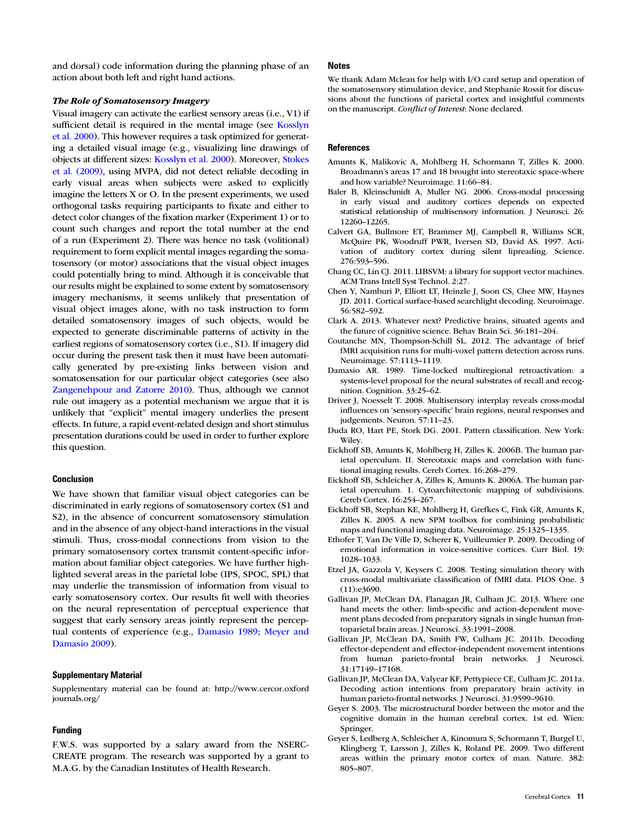<span id="page-10-0"></span>and dorsal) code information during the planning phase of an action about both left and right hand actions.

# The Role of Somatosensory Imagery

Visual imagery can activate the earliest sensory areas (i.e., V1) if sufficient detail is required in the mental image (see [Kosslyn](#page-11-0) [et al. 2000](#page-11-0)). This however requires a task optimized for generating a detailed visual image (e.g., visualizing line drawings of objects at different sizes: [Kosslyn et al. 2000](#page-11-0)). Moreover, [Stokes](#page-11-0) [et al. \(2009\),](#page-11-0) using MVPA, did not detect reliable decoding in early visual areas when subjects were asked to explicitly imagine the letters X or O. In the present experiments, we used orthogonal tasks requiring participants to fixate and either to detect color changes of the fixation marker (Experiment 1) or to count such changes and report the total number at the end of a run (Experiment 2). There was hence no task (volitional) requirement to form explicit mental images regarding the somatosensory (or motor) associations that the visual object images could potentially bring to mind. Although it is conceivable that our results might be explained to some extent by somatosensory imagery mechanisms, it seems unlikely that presentation of visual object images alone, with no task instruction to form detailed somatosensory images of such objects, would be expected to generate discriminable patterns of activity in the earliest regions of somatosensory cortex (i.e., S1). If imagery did occur during the present task then it must have been automatically generated by pre-existing links between vision and somatosensation for our particular object categories (see also [Zangenehpour and Zatorre 2010](#page-11-0)). Thus, although we cannot rule out imagery as a potential mechanism we argue that it is unlikely that "explicit" mental imagery underlies the present effects. In future, a rapid event-related design and short stimulus presentation durations could be used in order to further explore this question.

## Conclusion

We have shown that familiar visual object categories can be discriminated in early regions of somatosensory cortex (S1 and S2), in the absence of concurrent somatosensory stimulation and in the absence of any object-hand interactions in the visual stimuli. Thus, cross-modal connections from vision to the primary somatosensory cortex transmit content-specific information about familiar object categories. We have further highlighted several areas in the parietal lobe (IPS, SPOC, SPL) that may underlie the transmission of information from visual to early somatosensory cortex. Our results fit well with theories on the neural representation of perceptual experience that suggest that early sensory areas jointly represent the perceptual contents of experience (e.g., Damasio 1989; [Meyer and](#page-11-0) [Damasio 2009\)](#page-11-0).

#### Supplementary Material

[Supplementary material can be found at: http://www.cercor.oxford](http://cercor.oxfordjournals.org/lookup/suppl/doi:10.1093/cercor/bht292/-/DC1) [journals.org/](http://cercor.oxfordjournals.org/lookup/suppl/doi:10.1093/cercor/bht292/-/DC1)

# Funding

F.W.S. was supported by a salary award from the NSERC-CREATE program. The research was supported by a grant to M.A.G. by the Canadian Institutes of Health Research.

#### Notes

We thank Adam Mclean for help with I/O card setup and operation of the somatosensory stimulation device, and Stephanie Rossit for discussions about the functions of parietal cortex and insightful comments on the manuscript. Conflict of Interest: None declared.

# **References**

- Amunts K, Malikovic A, Mohlberg H, Schormann T, Zilles K. 2000. Broadmann's areas 17 and 18 brought into stereotaxic space-where and how variable? Neuroimage. 11:66–84.
- Baler B, Kleinschmidt A, Muller NG. 2006. Cross-modal processing in early visual and auditory cortices depends on expected statistical relationship of multisensory information. J Neurosci. 26: 12260–12265.
- Calvert GA, Bullmore ET, Brammer MJ, Campbell R, Williams SCR, McQuire PK, Woodruff PWR, Iversen SD, David AS. 1997. Activation of auditory cortex during silent lipreading. Science. 276:593–596.
- Chang CC, Lin CJ. 2011. LIBSVM: a library for support vector machines. ACM Trans Intell Syst Technol. 2:27.
- Chen Y, Namburi P, Elliott LT, Heinzle J, Soon CS, Chee MW, Haynes JD. 2011. Cortical surface-based searchlight decoding. Neuroimage. 56:582–592.
- Clark A. 2013. Whatever next? Predictive brains, situated agents and the future of cognitive science. Behav Brain Sci. 36:181–204.
- Coutanche MN, Thompson-Schill SL. 2012. The advantage of brief fMRI acquisition runs for multi-voxel pattern detection across runs. Neuroimage. 57:1113–1119.
- Damasio AR. 1989. Time-locked multiregional retroactivation: a systems-level proposal for the neural substrates of recall and recognition. Cognition. 33:25–62.
- Driver J, Noesselt T. 2008. Multisensory interplay reveals cross-modal influences on 'sensory-specific' brain regions, neural responses and judgements. Neuron. 57:11–23.
- Duda RO, Hart PE, Stork DG. 2001. Pattern classification. New York: Wiley.
- Eickhoff SB, Amunts K, Mohlberg H, Zilles K. 2006B. The human parietal operculum. II. Stereotaxic maps and correlation with functional imaging results. Cereb Cortex. 16:268–279.
- Eickhoff SB, Schleicher A, Zilles K, Amunts K. 2006A. The human parietal operculum. 1. Cytoarchitectonic mapping of subdivisions. Cereb Cortex. 16:254–267.
- Eickhoff SB, Stephan KE, Mohlberg H, Grefkes C, Fink GR, Amunts K, Zilles K. 2005. A new SPM toolbox for combining probabilistic maps and functional imaging data. Neuroimage. 25:1325–1335.
- Ethofer T, Van De Ville D, Scherer K, Vuilleumier P. 2009. Decoding of emotional information in voice-sensitive cortices. Curr Biol. 19: 1028–1033.
- Etzel JA, Gazzola V, Keysers C. 2008. Testing simulation theory with cross-modal multivariate classification of fMRI data. PLOS One. 3 (11):e3690.
- Gallivan JP, McClean DA, Flanagan JR, Culham JC. 2013. Where one hand meets the other: limb-specific and action-dependent movement plans decoded from preparatory signals in single human frontoparietal brain areas. J Neurosci. 33:1991–2008.
- Gallivan JP, McClean DA, Smith FW, Culham JC. 2011b. Decoding effector-dependent and effector-independent movement intentions from human parieto-frontal brain networks. J Neurosci. 31:17149–17168.
- Gallivan JP, McClean DA, Valyear KF, Pettypiece CE, Culham JC. 2011a. Decoding action intentions from preparatory brain activity in human parieto-frontal networks. J Neurosci. 31:9599–9610.
- Geyer S. 2003. The microstructural border between the motor and the cognitive domain in the human cerebral cortex. 1st ed. Wien: Springer.
- Geyer S, Ledberg A, Schleicher A, Kinomura S, Schormann T, Burgel U, Klingberg T, Larsson J, Zilles K, Roland PE. 2009. Two different areas within the primary motor cortex of man. Nature. 382: 805–807.